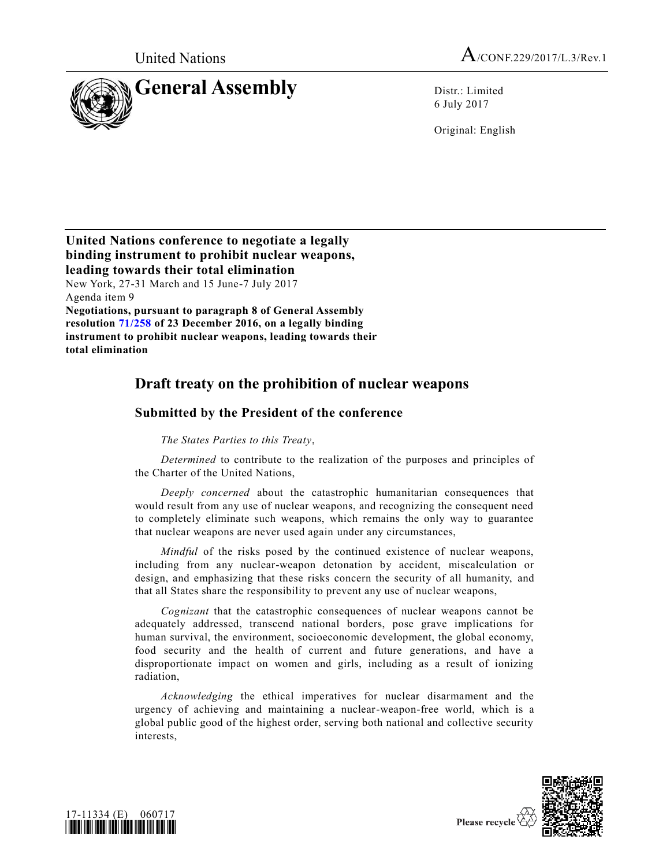



6 July 2017

Original: English

# **United Nations conference to negotiate a legally binding instrument to prohibit nuclear weapons, leading towards their total elimination**

New York, 27-31 March and 15 June-7 July 2017 Agenda item 9 **Negotiations, pursuant to paragraph 8 of General Assembly resolution [71/258](https://undocs.org/A/RES/71/258) of 23 December 2016, on a legally binding instrument to prohibit nuclear weapons, leading towards their total elimination**

# **Draft treaty on the prohibition of nuclear weapons**

#### **Submitted by the President of the conference**

#### *The States Parties to this Treaty*,

*Determined* to contribute to the realization of the purposes and principles of the Charter of the United Nations,

*Deeply concerned* about the catastrophic humanitarian consequences that would result from any use of nuclear weapons, and recognizing the consequent need to completely eliminate such weapons, which remains the only way to guarantee that nuclear weapons are never used again under any circumstances,

*Mindful* of the risks posed by the continued existence of nuclear weapons, including from any nuclear-weapon detonation by accident, miscalculation or design, and emphasizing that these risks concern the security of all humanity, and that all States share the responsibility to prevent any use of nuclear weapons,

*Cognizant* that the catastrophic consequences of nuclear weapons cannot be adequately addressed, transcend national borders, pose grave implications for human survival, the environment, socioeconomic development, the global economy, food security and the health of current and future generations, and have a disproportionate impact on women and girls, including as a result of ionizing radiation,

*Acknowledging* the ethical imperatives for nuclear disarmament and the urgency of achieving and maintaining a nuclear-weapon-free world, which is a global public good of the highest order, serving both national and collective security interests,



Please recycle  $\overline{\mathcal{C}}$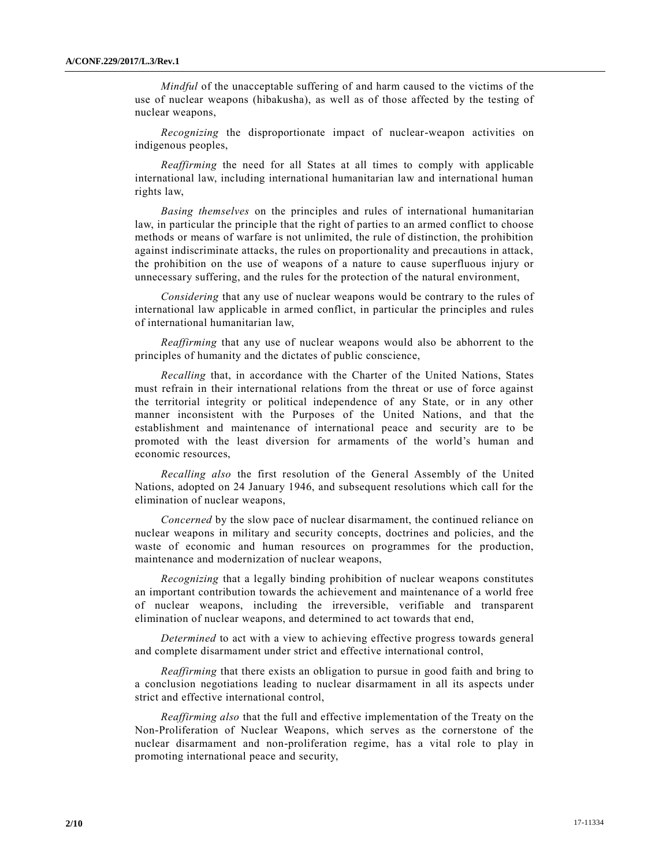*Mindful* of the unacceptable suffering of and harm caused to the victims of the use of nuclear weapons (hibakusha), as well as of those affected by the testing of nuclear weapons,

*Recognizing* the disproportionate impact of nuclear-weapon activities on indigenous peoples,

*Reaffirming* the need for all States at all times to comply with applicable international law, including international humanitarian law and international human rights law,

*Basing themselves* on the principles and rules of international humanitarian law, in particular the principle that the right of parties to an armed conflict to choose methods or means of warfare is not unlimited, the rule of distinction, the prohibition against indiscriminate attacks, the rules on proportionality and precautions in attack, the prohibition on the use of weapons of a nature to cause superfluous injury or unnecessary suffering, and the rules for the protection of the natural environment,

*Considering* that any use of nuclear weapons would be contrary to the rules of international law applicable in armed conflict, in particular the principles and rules of international humanitarian law,

*Reaffirming* that any use of nuclear weapons would also be abhorrent to the principles of humanity and the dictates of public conscience,

*Recalling* that, in accordance with the Charter of the United Nations, States must refrain in their international relations from the threat or use of force against the territorial integrity or political independence of any State, or in any other manner inconsistent with the Purposes of the United Nations, and that the establishment and maintenance of international peace and security are to be promoted with the least diversion for armaments of the world's human and economic resources,

*Recalling also* the first resolution of the General Assembly of the United Nations, adopted on 24 January 1946, and subsequent resolutions which call for the elimination of nuclear weapons,

*Concerned* by the slow pace of nuclear disarmament, the continued reliance on nuclear weapons in military and security concepts, doctrines and policies, and the waste of economic and human resources on programmes for the production, maintenance and modernization of nuclear weapons,

*Recognizing* that a legally binding prohibition of nuclear weapons constitutes an important contribution towards the achievement and maintenance of a world free of nuclear weapons, including the irreversible, verifiable and transparent elimination of nuclear weapons, and determined to act towards that end,

*Determined* to act with a view to achieving effective progress towards general and complete disarmament under strict and effective international control,

*Reaffirming* that there exists an obligation to pursue in good faith and bring to a conclusion negotiations leading to nuclear disarmament in all its aspects under strict and effective international control,

*Reaffirming also* that the full and effective implementation of the Treaty on the Non-Proliferation of Nuclear Weapons, which serves as the cornerstone of the nuclear disarmament and non-proliferation regime, has a vital role to play in promoting international peace and security,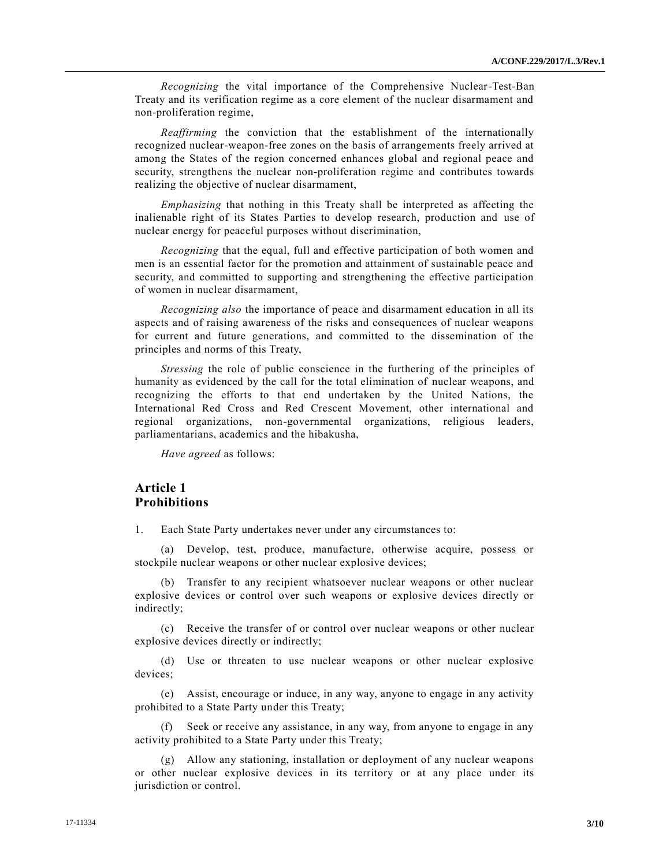*Recognizing* the vital importance of the Comprehensive Nuclear-Test-Ban Treaty and its verification regime as a core element of the nuclear disarmament and non-proliferation regime,

*Reaffirming* the conviction that the establishment of the internationally recognized nuclear-weapon-free zones on the basis of arrangements freely arrived at among the States of the region concerned enhances global and regional peace and security, strengthens the nuclear non-proliferation regime and contributes towards realizing the objective of nuclear disarmament,

*Emphasizing* that nothing in this Treaty shall be interpreted as affecting the inalienable right of its States Parties to develop research, production and use of nuclear energy for peaceful purposes without discrimination,

*Recognizing* that the equal, full and effective participation of both women and men is an essential factor for the promotion and attainment of sustainable peace and security, and committed to supporting and strengthening the effective participation of women in nuclear disarmament,

*Recognizing also* the importance of peace and disarmament education in all its aspects and of raising awareness of the risks and consequences of nuclear weapons for current and future generations, and committed to the dissemination of the principles and norms of this Treaty,

*Stressing* the role of public conscience in the furthering of the principles of humanity as evidenced by the call for the total elimination of nuclear weapons, and recognizing the efforts to that end undertaken by the United Nations, the International Red Cross and Red Crescent Movement, other international and regional organizations, non-governmental organizations, religious leaders, parliamentarians, academics and the hibakusha,

*Have agreed* as follows:

#### **Article 1 Prohibitions**

1. Each State Party undertakes never under any circumstances to:

(a) Develop, test, produce, manufacture, otherwise acquire, possess or stockpile nuclear weapons or other nuclear explosive devices;

(b) Transfer to any recipient whatsoever nuclear weapons or other nuclear explosive devices or control over such weapons or explosive devices directly or indirectly;

(c) Receive the transfer of or control over nuclear weapons or other nuclear explosive devices directly or indirectly;

(d) Use or threaten to use nuclear weapons or other nuclear explosive devices;

(e) Assist, encourage or induce, in any way, anyone to engage in any activity prohibited to a State Party under this Treaty;

(f) Seek or receive any assistance, in any way, from anyone to engage in any activity prohibited to a State Party under this Treaty;

(g) Allow any stationing, installation or deployment of any nuclear weapons or other nuclear explosive devices in its territory or at any place under its jurisdiction or control.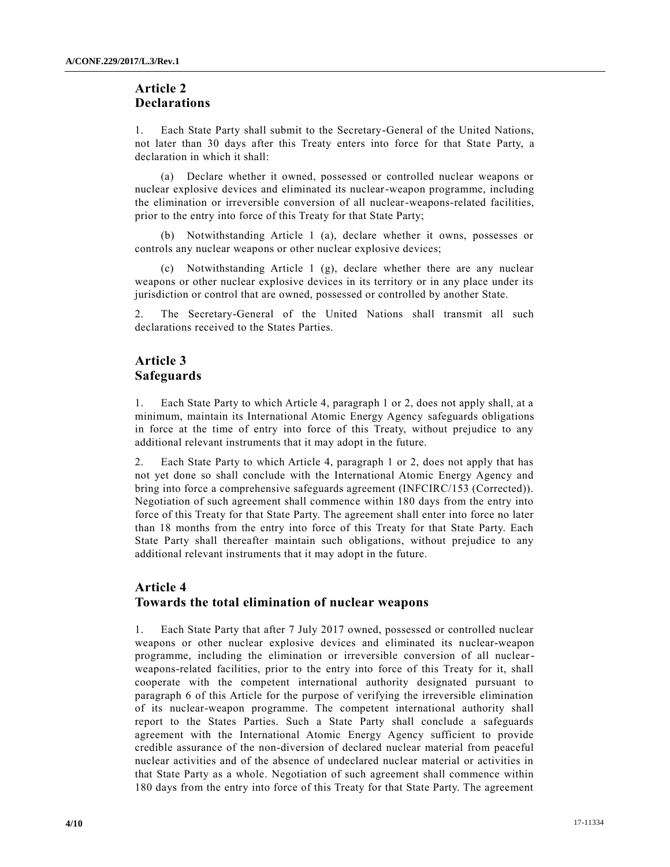#### **Article 2 Declarations**

1. Each State Party shall submit to the Secretary-General of the United Nations, not later than 30 days after this Treaty enters into force for that State Party, a declaration in which it shall:

(a) Declare whether it owned, possessed or controlled nuclear weapons or nuclear explosive devices and eliminated its nuclear-weapon programme, including the elimination or irreversible conversion of all nuclear-weapons-related facilities, prior to the entry into force of this Treaty for that State Party;

(b) Notwithstanding Article 1 (a), declare whether it owns, possesses or controls any nuclear weapons or other nuclear explosive devices;

(c) Notwithstanding Article 1 (g), declare whether there are any nuclear weapons or other nuclear explosive devices in its territory or in any place under its jurisdiction or control that are owned, possessed or controlled by another State.

2. The Secretary-General of the United Nations shall transmit all such declarations received to the States Parties.

### **Article 3 Safeguards**

1. Each State Party to which Article 4, paragraph 1 or 2, does not apply shall, at a minimum, maintain its International Atomic Energy Agency safeguards obligations in force at the time of entry into force of this Treaty, without prejudice to any additional relevant instruments that it may adopt in the future.

2. Each State Party to which Article 4, paragraph 1 or 2, does not apply that has not yet done so shall conclude with the International Atomic Energy Agency and bring into force a comprehensive safeguards agreement (INFCIRC/153 (Corrected)). Negotiation of such agreement shall commence within 180 days from the entry into force of this Treaty for that State Party. The agreement shall enter into force no later than 18 months from the entry into force of this Treaty for that State Party. Each State Party shall thereafter maintain such obligations, without prejudice to any additional relevant instruments that it may adopt in the future.

# **Article 4 Towards the total elimination of nuclear weapons**

1. Each State Party that after 7 July 2017 owned, possessed or controlled nuclear weapons or other nuclear explosive devices and eliminated its nuclear-weapon programme, including the elimination or irreversible conversion of all nuclearweapons-related facilities, prior to the entry into force of this Treaty for it, shall cooperate with the competent international authority designated pursuant to paragraph 6 of this Article for the purpose of verifying the irreversible elimination of its nuclear-weapon programme. The competent international authority shall report to the States Parties. Such a State Party shall conclude a safeguards agreement with the International Atomic Energy Agency sufficient to provide credible assurance of the non-diversion of declared nuclear material from peaceful nuclear activities and of the absence of undeclared nuclear material or activities in that State Party as a whole. Negotiation of such agreement shall commence within 180 days from the entry into force of this Treaty for that State Party. The agreement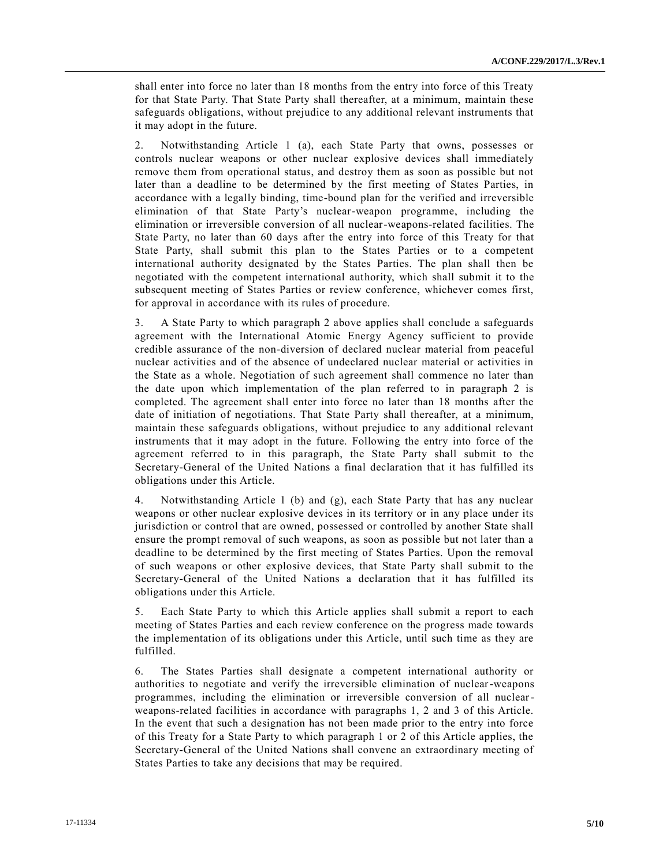shall enter into force no later than 18 months from the entry into force of this Treaty for that State Party. That State Party shall thereafter, at a minimum, maintain these safeguards obligations, without prejudice to any additional relevant instruments that it may adopt in the future.

2. Notwithstanding Article 1 (a), each State Party that owns, possesses or controls nuclear weapons or other nuclear explosive devices shall immediately remove them from operational status, and destroy them as soon as possible but not later than a deadline to be determined by the first meeting of States Parties, in accordance with a legally binding, time-bound plan for the verified and irreversible elimination of that State Party's nuclear-weapon programme, including the elimination or irreversible conversion of all nuclear-weapons-related facilities. The State Party, no later than 60 days after the entry into force of this Treaty for that State Party, shall submit this plan to the States Parties or to a competent international authority designated by the States Parties. The plan shall then be negotiated with the competent international authority, which shall submit it to the subsequent meeting of States Parties or review conference, whichever comes first, for approval in accordance with its rules of procedure.

3. A State Party to which paragraph 2 above applies shall conclude a safeguards agreement with the International Atomic Energy Agency sufficient to provide credible assurance of the non-diversion of declared nuclear material from peaceful nuclear activities and of the absence of undeclared nuclear material or activities in the State as a whole. Negotiation of such agreement shall commence no later than the date upon which implementation of the plan referred to in paragraph 2 is completed. The agreement shall enter into force no later than 18 months after the date of initiation of negotiations. That State Party shall thereafter, at a minimum, maintain these safeguards obligations, without prejudice to any additional relevant instruments that it may adopt in the future. Following the entry into force of the agreement referred to in this paragraph, the State Party shall submit to the Secretary-General of the United Nations a final declaration that it has fulfilled its obligations under this Article.

4. Notwithstanding Article 1 (b) and (g), each State Party that has any nuclear weapons or other nuclear explosive devices in its territory or in any place under its jurisdiction or control that are owned, possessed or controlled by another State shall ensure the prompt removal of such weapons, as soon as possible but not later than a deadline to be determined by the first meeting of States Parties. Upon the removal of such weapons or other explosive devices, that State Party shall submit to the Secretary-General of the United Nations a declaration that it has fulfilled its obligations under this Article.

5. Each State Party to which this Article applies shall submit a report to each meeting of States Parties and each review conference on the progress made towards the implementation of its obligations under this Article, until such time as they are fulfilled.

6. The States Parties shall designate a competent international authority or authorities to negotiate and verify the irreversible elimination of nuclear-weapons programmes, including the elimination or irreversible conversion of all nuclearweapons-related facilities in accordance with paragraphs 1, 2 and 3 of this Article. In the event that such a designation has not been made prior to the entry into force of this Treaty for a State Party to which paragraph 1 or 2 of this Article applies, the Secretary-General of the United Nations shall convene an extraordinary meeting of States Parties to take any decisions that may be required.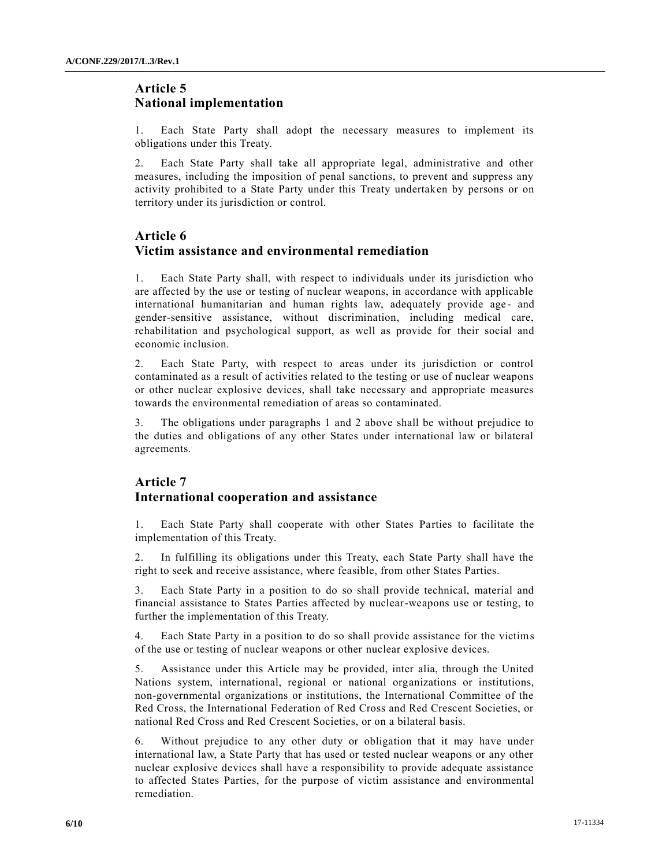#### **Article 5 National implementation**

1. Each State Party shall adopt the necessary measures to implement its obligations under this Treaty.

2. Each State Party shall take all appropriate legal, administrative and other measures, including the imposition of penal sanctions, to prevent and suppress any activity prohibited to a State Party under this Treaty undertaken by persons or on territory under its jurisdiction or control.

### **Article 6 Victim assistance and environmental remediation**

1. Each State Party shall, with respect to individuals under its jurisdiction who are affected by the use or testing of nuclear weapons, in accordance with applicable international humanitarian and human rights law, adequately provide age- and gender-sensitive assistance, without discrimination, including medical care, rehabilitation and psychological support, as well as provide for their social and economic inclusion.

2. Each State Party, with respect to areas under its jurisdiction or control contaminated as a result of activities related to the testing or use of nuclear weapons or other nuclear explosive devices, shall take necessary and appropriate measures towards the environmental remediation of areas so contaminated.

3. The obligations under paragraphs 1 and 2 above shall be without prejudice to the duties and obligations of any other States under international law or bilateral agreements.

# **Article 7 International cooperation and assistance**

1. Each State Party shall cooperate with other States Parties to facilitate the implementation of this Treaty.

2. In fulfilling its obligations under this Treaty, each State Party shall have the right to seek and receive assistance, where feasible, from other States Parties.

3. Each State Party in a position to do so shall provide technical, material and financial assistance to States Parties affected by nuclear-weapons use or testing, to further the implementation of this Treaty.

4. Each State Party in a position to do so shall provide assistance for the victims of the use or testing of nuclear weapons or other nuclear explosive devices.

5. Assistance under this Article may be provided, inter alia, through the United Nations system, international, regional or national organizations or institutions, non-governmental organizations or institutions, the International Committee of the Red Cross, the International Federation of Red Cross and Red Crescent Societies, or national Red Cross and Red Crescent Societies, or on a bilateral basis.

6. Without prejudice to any other duty or obligation that it may have under international law, a State Party that has used or tested nuclear weapons or any other nuclear explosive devices shall have a responsibility to provide adequate assistance to affected States Parties, for the purpose of victim assistance and environmental remediation.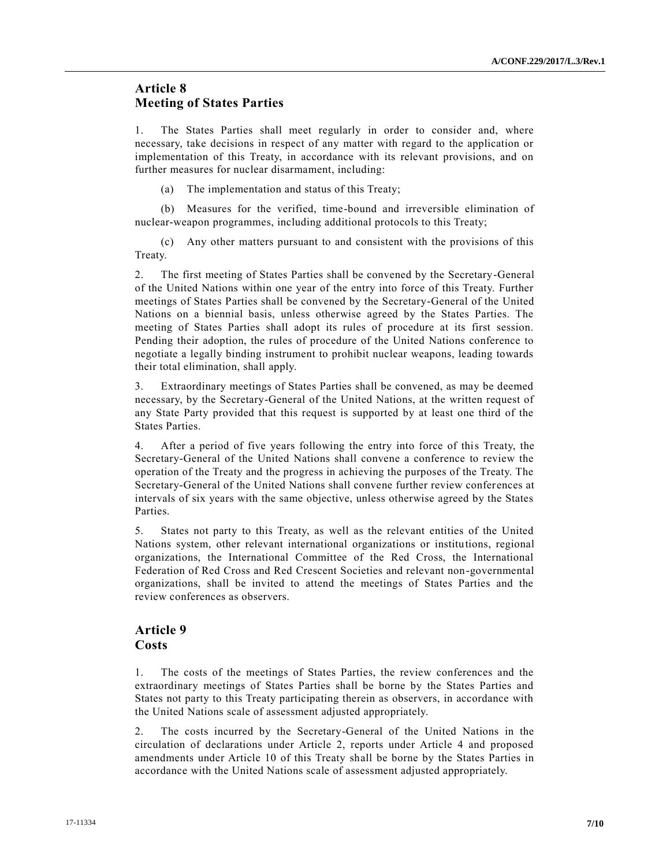# **Article 8 Meeting of States Parties**

1. The States Parties shall meet regularly in order to consider and, where necessary, take decisions in respect of any matter with regard to the application or implementation of this Treaty, in accordance with its relevant provisions, and on further measures for nuclear disarmament, including:

(a) The implementation and status of this Treaty;

(b) Measures for the verified, time-bound and irreversible elimination of nuclear-weapon programmes, including additional protocols to this Treaty;

(c) Any other matters pursuant to and consistent with the provisions of this Treaty.

2. The first meeting of States Parties shall be convened by the Secretary-General of the United Nations within one year of the entry into force of this Treaty. Further meetings of States Parties shall be convened by the Secretary-General of the United Nations on a biennial basis, unless otherwise agreed by the States Parties. The meeting of States Parties shall adopt its rules of procedure at its first session. Pending their adoption, the rules of procedure of the United Nations conference to negotiate a legally binding instrument to prohibit nuclear weapons, leading towards their total elimination, shall apply.

3. Extraordinary meetings of States Parties shall be convened, as may be deemed necessary, by the Secretary-General of the United Nations, at the written request of any State Party provided that this request is supported by at least one third of the States Parties.

4. After a period of five years following the entry into force of this Treaty, the Secretary-General of the United Nations shall convene a conference to review the operation of the Treaty and the progress in achieving the purposes of the Treaty. The Secretary-General of the United Nations shall convene further review conferences at intervals of six years with the same objective, unless otherwise agreed by the States Parties.

5. States not party to this Treaty, as well as the relevant entities of the United Nations system, other relevant international organizations or institutions, regional organizations, the International Committee of the Red Cross, the International Federation of Red Cross and Red Crescent Societies and relevant non-governmental organizations, shall be invited to attend the meetings of States Parties and the review conferences as observers.

#### **Article 9 Costs**

1. The costs of the meetings of States Parties, the review conferences and the extraordinary meetings of States Parties shall be borne by the States Parties and States not party to this Treaty participating therein as observers, in accordance with the United Nations scale of assessment adjusted appropriately.

2. The costs incurred by the Secretary-General of the United Nations in the circulation of declarations under Article 2, reports under Article 4 and proposed amendments under Article 10 of this Treaty shall be borne by the States Parties in accordance with the United Nations scale of assessment adjusted appropriately.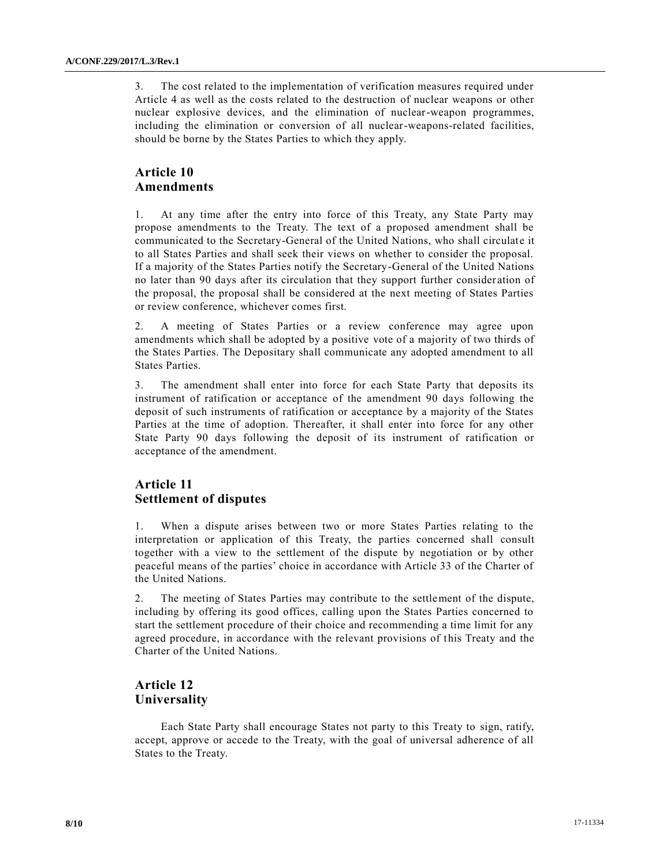3. The cost related to the implementation of verification measures required under Article 4 as well as the costs related to the destruction of nuclear weapons or other nuclear explosive devices, and the elimination of nuclear-weapon programmes, including the elimination or conversion of all nuclear-weapons-related facilities, should be borne by the States Parties to which they apply.

# **Article 10 Amendments**

1. At any time after the entry into force of this Treaty, any State Party may propose amendments to the Treaty. The text of a proposed amendment shall be communicated to the Secretary-General of the United Nations, who shall circulate it to all States Parties and shall seek their views on whether to consider the proposal. If a majority of the States Parties notify the Secretary-General of the United Nations no later than 90 days after its circulation that they support further consider ation of the proposal, the proposal shall be considered at the next meeting of States Parties or review conference, whichever comes first.

2. A meeting of States Parties or a review conference may agree upon amendments which shall be adopted by a positive vote of a majority of two thirds of the States Parties. The Depositary shall communicate any adopted amendment to all States Parties.

3. The amendment shall enter into force for each State Party that deposits its instrument of ratification or acceptance of the amendment 90 days following the deposit of such instruments of ratification or acceptance by a majority of the States Parties at the time of adoption. Thereafter, it shall enter into force for any other State Party 90 days following the deposit of its instrument of ratification or acceptance of the amendment.

# **Article 11 Settlement of disputes**

1. When a dispute arises between two or more States Parties relating to the interpretation or application of this Treaty, the parties concerned shall consult together with a view to the settlement of the dispute by negotiation or by other peaceful means of the parties' choice in accordance with Article 33 of the Charter of the United Nations.

2. The meeting of States Parties may contribute to the settlement of the dispute, including by offering its good offices, calling upon the States Parties concerned to start the settlement procedure of their choice and recommending a time limit for any agreed procedure, in accordance with the relevant provisions of this Treaty and the Charter of the United Nations.

# **Article 12 Universality**

Each State Party shall encourage States not party to this Treaty to sign, ratify, accept, approve or accede to the Treaty, with the goal of universal adherence of all States to the Treaty.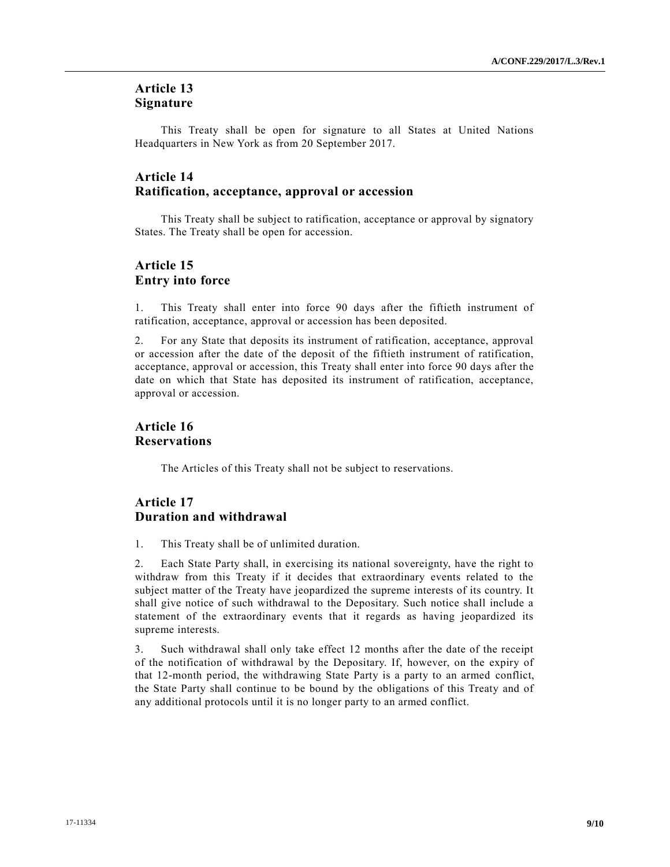#### **Article 13 Signature**

This Treaty shall be open for signature to all States at United Nations Headquarters in New York as from 20 September 2017.

#### **Article 14 Ratification, acceptance, approval or accession**

This Treaty shall be subject to ratification, acceptance or approval by signatory States. The Treaty shall be open for accession.

#### **Article 15 Entry into force**

1. This Treaty shall enter into force 90 days after the fiftieth instrument of ratification, acceptance, approval or accession has been deposited.

2. For any State that deposits its instrument of ratification, acceptance, approval or accession after the date of the deposit of the fiftieth instrument of ratification, acceptance, approval or accession, this Treaty shall enter into force 90 days after the date on which that State has deposited its instrument of ratification, acceptance, approval or accession.

#### **Article 16 Reservations**

The Articles of this Treaty shall not be subject to reservations.

# **Article 17 Duration and withdrawal**

1. This Treaty shall be of unlimited duration.

2. Each State Party shall, in exercising its national sovereignty, have the right to withdraw from this Treaty if it decides that extraordinary events related to the subject matter of the Treaty have jeopardized the supreme interests of its country. It shall give notice of such withdrawal to the Depositary. Such notice shall include a statement of the extraordinary events that it regards as having jeopardized its supreme interests.

3. Such withdrawal shall only take effect 12 months after the date of the receipt of the notification of withdrawal by the Depositary. If, however, on the expiry of that 12-month period, the withdrawing State Party is a party to an armed conflict, the State Party shall continue to be bound by the obligations of this Treaty and of any additional protocols until it is no longer party to an armed conflict.